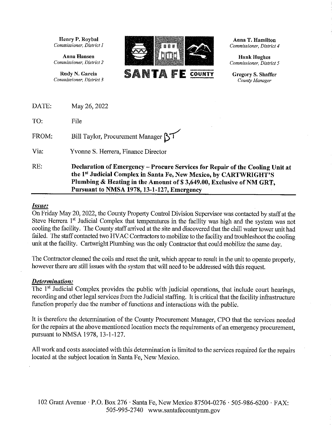Henry P. Roybal Commissioner, District 1

Anna Hansen Commissioner, District 2

Rudy N. Garcia Commissioner, District 3



SANTA F F **COUNTY** 

**Anna T. Hamilton** Commissioner, District 4

**Hank Hughes** Commissioner, District 5

**Gregory S. Shaffer** County Manager

| RE:   | Declaration of Emergency - Procure Services for Repair of the Cooling Unit at<br>the 1 <sup>st</sup> Judicial Complex in Santa Fe, New Mexico, by CARTWRIGHT'S<br>Plumbing & Heating in the Amount of \$3,649.00, Exclusive of NM GRT, |
|-------|----------------------------------------------------------------------------------------------------------------------------------------------------------------------------------------------------------------------------------------|
| Via:  | Yvonne S. Herrera, Finance Director                                                                                                                                                                                                    |
| FROM: | Bill Taylor, Procurement Manager 31                                                                                                                                                                                                    |
| TO:   | File                                                                                                                                                                                                                                   |
| DATE: | May 26, 2022                                                                                                                                                                                                                           |

Pursuant to NMSA 1978, 13-1-127, Emergency

## *Issue:*

On Friday May 20, 2022, the County Property Control Division Supervisor was contacted by staff at the Steve Herrera 1<sup>st</sup> Judicial Complex that temperatures in the facility was high and the system was not cooling the facility. The County staff arrived at the site and discovered that the chill water tower unit had failed. The staff contacted two HVAC Contractors to mobilize to the facility and troubleshoot the cooling unit at the facility. Cartwright Plumbing was the only Contractor that could mobilize the same day.

The Contractor cleaned the coils and reset the unit, which appear to result in the unit to operate properly, however there are still issues with the system that will need to be addressed with this request.

## Determination:

The  $1<sup>st</sup>$  Judicial Complex provides the public with judicial operations, that include court hearings, recording and other legal services from the Judicial staffing. It is critical that the facility infrastructure function properly due the number of functions and interactions with the public.

It is therefore the determination of the County Procurement Manager, CPO that the services needed for the repairs at the above mentioned location meets the requirements of an emergency procurement, pursuant to NMSA 1978, 13-1-127.

All work and costs associated with this determination is limited to the services required for the repairs located at the subject location in Santa Fe, New Mexico.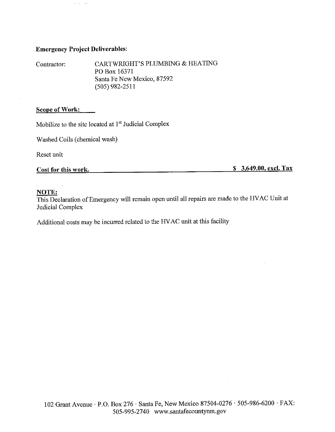# **Emergency Project Deliverables:**

 $\omega$  ,  $\omega$  ,  $\omega$  , and

CARTWRIGHT'S PLUMBING & HEATING Contractor: PO Box 16371 Santa Fe New Mexico, 87592  $(505)$  982-2511

# Scope of Work:

Mobilize to the site located at 1<sup>st</sup> Judicial Complex

Washed Coils (chemical wash)

Reset unit

Cost for this work.

 $\mathcal{A}^{\mathcal{A}}$  and  $\mathcal{A}^{\mathcal{A}}$  are the set of the set of the set of the set of  $\mathcal{A}$ 

\$ 3,649.00, excl. Tax

## NOTE:

This Declaration of Emergency will remain open until all repairs are made to the HVAC Unit at Judicial Complex

Additional costs may be incurred related to the HVAC unit at this facility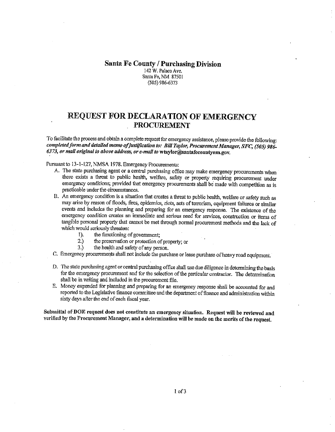# **Santa Fe County / Purchasing Division**

142 W. Palace Ave. Santa Fe, NM 87501  $(505)$  986-6373

# REQUEST FOR DECLARATION OF EMERGENCY **PROCUREMENT**

To facilitate the process and obtain a complete request for emergency assistance, please provide the following: completed form and detailed memo of justification to: Bill Taylor, Procurement Manager, SFC, (505) 986-6373, or mail original to above address, or e-mail to wtaylor@santafecountynm.gov.

Pursuant to 13-1-127, NMSA 1978. Emergency Procurements:

- A. The state purchasing agent or a central purchasing office may make emergency procurements when there exists a threat to public health, welfare, safety or property requiring procurement under emergency conditions; provided that emergency procurements shall be made with competition as is practicable under the circumstances.
- B. An emergency condition is a situation that creates a threat to public health, welfare or safety such as may arise by reason of floods, fires, epidemics, riots, acts of terrorism, equipment failures or similar events and includes the planning and preparing for an emergency response. The existence of the emergency condition creates an immediate and serious need for services, construction or items of tangible personal property that cannot be met through normal procurement methods and the lack of which would seriously threaten:
	- the functioning of government; 1).
	- $2.)$ the preservation or protection of property; or
	- the health and safety of any person.  $3.$
- C. Emergency procurements shall not include the purchase or lease purchase of heavy road equipment.
- D. The state purchasing agent or central purchasing office shall use due diligence in determining the basis for the emergency procurement and for the selection of the particular contractor. The determination shall be in writing and included in the procurement file.
- E. Money expended for planning and preparing for an emergency response shall be accounted for and reported to the Legislative finance committee and the department of finance and administration within sixty days after the end of each fiscal year.

Submittal of DOE request does not constitute an emergency situation. Request will be reviewed and verified by the Procurement Manager, and a determination will be made on the merits of the request.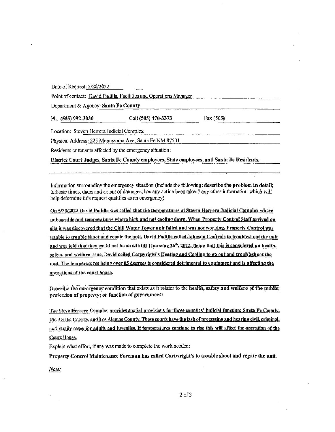| Date of Request: 5/20/2022                                |                                                                                            |           |  |
|-----------------------------------------------------------|--------------------------------------------------------------------------------------------|-----------|--|
|                                                           | Point of contact: David Padilla, Facilities and Operations Manager                         |           |  |
| Department & Agency: Santa Fe County                      |                                                                                            |           |  |
| Ph. (505) 992-3030                                        | Cell (505) 470-3373                                                                        | Fax (505) |  |
| Location: Steven Herrera Judicial Complex                 |                                                                                            |           |  |
|                                                           | Physical Address: 225 Montezuma Ave, Santa Fe NM 87501                                     |           |  |
| Residents or tenants affected by the emergency situation: |                                                                                            |           |  |
|                                                           | District Court Judges, Santa Fe County employees, State employees, and Santa Fe Residents, |           |  |

Information surrounding the emergency situation (include the following: describe the problem in detail; indicate times, dates and extent of damages; has any action been taken? any other information which will help determine this request qualifies as an emergency)

On 5/20/2022 David Padilla was called that the temperatures at Steven Herrera Judicial Complex where unbearable and temperatures where high and not cooling down. When Property Control Staff arrived on site it was discovered that the Chill Water Tower unit failed and was not working. Property Control was unable to trouble shoot and repair the unit. David Padilla called Johnson Controls to troubleshoot the unit and was told that they could not be on site till Thursday 26<sup>th</sup>, 2022. Being that this is considered an health, safety, and welfare issue, David called Cartwright's Heating and Cooling to go out and troubleshoot the unit. The temperatures being over 85 degrees is considered detrimental to equipment and is affecting the operations of the court house.

Describe the emergency condition that exists as it relates to the health, safety and welfare of the public; protection of property; or function of government:

The Steve Herrera Complex provides spatial provisions for three counties' judicial function; Santa Fe County, Rio Arriba County, and Los Alamos County. These courts have the task of processing and hearing civil, criminal, and family cases for adults and juveniles. If temperatures continue to rise this will affect the operation of the Court House.

Explain what effort, if any was made to complete the work needed:

Property Control Maintenance Foreman has called Cartwright's to trouble shoot and repair the unit.

Note: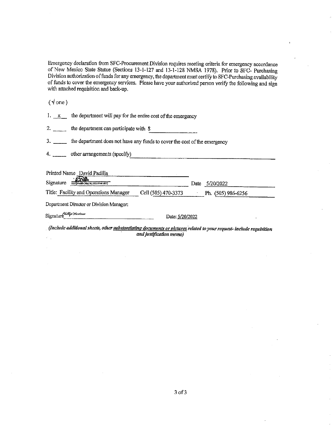Emergency declaration from SFC-Procurement Division requires meeting criteria for emergency accordance of New Mexico State Statue (Sections 13-1-127 and 13-1-128 NMSA 1978). Prior to SFC- Purchasing Division authorization of funds for any emergency, the department must certify to SFC-Purchasing availability of funds to cover the emergency services. Please have your authorized person verify the following and sign with attached requisition and back-up.

 $(\sqrt{one})$ 

|  | the department will pay for the entire cost of the emergency |  |
|--|--------------------------------------------------------------|--|
|  |                                                              |  |

2.  $\frac{1}{2}$  the department can participate with \$

3. \_\_\_\_\_\_ the department does not have any funds to cover the cost of the emergency

4. \_\_\_\_\_\_ other arrangements (specify)

| Printed Name David Padilla                                                                                                   |                     |      |                    |
|------------------------------------------------------------------------------------------------------------------------------|---------------------|------|--------------------|
| David Padilla (May 26, 2022 07:46 MOT)<br>Signature                                                                          |                     | Date | 5/20/2022          |
| Title: Facility and Operations Manager                                                                                       | Cell (505) 470-3373 |      | Ph. (505) 986-6256 |
| Department Director or Division Manager:                                                                                     |                     |      |                    |
| Signature <i> Phillis Montano</i>                                                                                            | Date: 5/20/2022     |      |                    |
| . (Include additional sheets, other <u>substantiating documents or pictures</u> related to your request- include requisition |                     |      |                    |

and justification memo)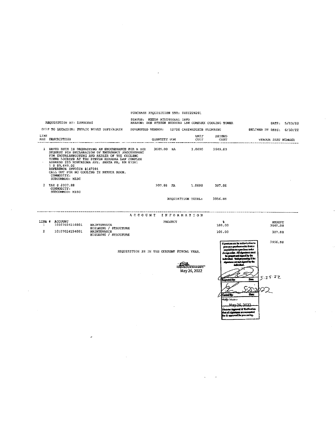### PURCHASE REQUISITION NBR: 0000224201

 $\ddot{\phantom{1}}$ 

| REQUISITION BY: LSANCHEZ                                                                                                           |                                                                                                                                                                                                                                                  | STATUS: NEEDS ADDITIONAL INFO<br>REASON: DOE STEVEN HERRERA LAW COMPLEX COOLING TOWER |                |                                                |                                                                                                                                                                                                                                                                                                                                                                                                                                               |                     | DATE:                    | 5/23/22            |
|------------------------------------------------------------------------------------------------------------------------------------|--------------------------------------------------------------------------------------------------------------------------------------------------------------------------------------------------------------------------------------------------|---------------------------------------------------------------------------------------|----------------|------------------------------------------------|-----------------------------------------------------------------------------------------------------------------------------------------------------------------------------------------------------------------------------------------------------------------------------------------------------------------------------------------------------------------------------------------------------------------------------------------------|---------------------|--------------------------|--------------------|
| SHIP TO LOCATION: FUBLIC WORKS DEPT/AUMIN                                                                                          |                                                                                                                                                                                                                                                  | SUGGESTED VENDOR:                                                                     |                | 12726 CARTWRIGHTS PLUMBING                     |                                                                                                                                                                                                                                                                                                                                                                                                                                               | DELIVER BY DATE:    |                          | 6/30/22            |
| LINE<br>NBR DESCRIPTION                                                                                                            |                                                                                                                                                                                                                                                  | QUANTITY UOM                                                                          |                | UNI'T<br>CODT<br>.                             | <b>EXTEND</b><br>COST                                                                                                                                                                                                                                                                                                                                                                                                                         |                     |                          | VENDOR PART NUMBER |
| 1 DAVID RUIZ IS REQUESTING AN ENCUMBRANCE FOR A DOE<br>1 8 93,649.00<br>REFERENCE INVOICE #147391<br>COMMODITY,<br>SUBCOMMOD: MISC | REQUEST FOR DECLARATION OF EMERGENCY PROCUREMENT<br>FOR TROUBLESHOOTING AND REPAIR OF THE COOLING<br>TOWER LOCATED AT THE STEVEN HERRERA LAW COMPLEX<br>ADDRESS 225 MONTEZUMA AVE. SNATA FE, NM 87501<br>CALL OUT FOR NO COOLING IN SERVER ROOM. | 3649.00 EA                                                                            |                | 1.0000                                         | 3649.00                                                                                                                                                                                                                                                                                                                                                                                                                                       |                     |                          |                    |
| TAX @ \$307.88<br>$\overline{2}$<br>COMMODITY:<br>SUBCOMMOD: MISC                                                                  |                                                                                                                                                                                                                                                  | 307 88 EA                                                                             |                | 1,0000                                         | 307.88                                                                                                                                                                                                                                                                                                                                                                                                                                        |                     |                          |                    |
|                                                                                                                                    |                                                                                                                                                                                                                                                  |                                                                                       |                | REQUISITION TOTAL.                             | 3956.88                                                                                                                                                                                                                                                                                                                                                                                                                                       |                     |                          |                    |
| LINE #<br><b>ACCOUNT</b><br>$\mathbf{1}$<br>10107024154001                                                                         | MAINTENANCE<br>BUILDING / STRUCTURE                                                                                                                                                                                                              | ACCOUNT                                                                               | <b>PROJECT</b> | <b>INFORMATION</b>                             | ÷<br>100.00                                                                                                                                                                                                                                                                                                                                                                                                                                   |                     | <b>AMOUNT</b><br>3649.00 |                    |
| $\mathbf{2}$<br>10107024154001                                                                                                     | MAINTENANCE<br><b>BUILDING / STRUCTURE</b>                                                                                                                                                                                                       |                                                                                       |                |                                                | 100.00                                                                                                                                                                                                                                                                                                                                                                                                                                        |                     | 307.88                   |                    |
|                                                                                                                                    |                                                                                                                                                                                                                                                  | REQUISITION IS IN THE CURRENT FISCAL YEAR.                                            |                | adide (Hwy 16, 2022 of:46 MOTI<br>May 26, 2022 | Signatures are for authorization to<br>process a purchase order from a<br>roquisition et a parchaec noder<br>change order. All einmanner must<br>he must and signal by the<br>individual. Vold proceeding it the<br>adamas anti dark signeed by the<br>المتقاماة<br>nd Louis<br><b>Senator</b><br>Obilija Mustano<br>Mar 26, 2022<br>Director Approval & Verification<br>that all successors are accounted.<br>for a approved for processing. | Date:<br><b>Dec</b> | 3956.88<br>5.25.22       |                    |

l,

Ĭ.

÷,

 $\zeta_{\rm c}$ 

ŀ,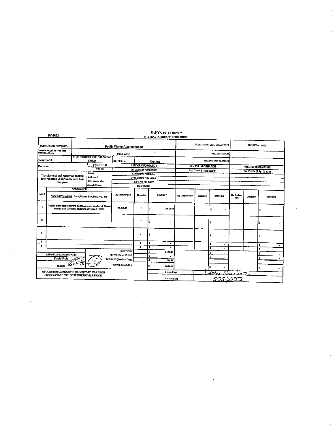|                         | FY-2022                                                                             | SANTA FE COUNTY<br><b>INTERNAL PURCHASE REQUISITION</b> |                                                              |                                    |                           |          |                |                  |                                  |                            |                       |                           |               |  |
|-------------------------|-------------------------------------------------------------------------------------|---------------------------------------------------------|--------------------------------------------------------------|------------------------------------|---------------------------|----------|----------------|------------------|----------------------------------|----------------------------|-----------------------|---------------------------|---------------|--|
|                         | DEPARTMENT / DIVISION:                                                              |                                                         |                                                              | <b>Public Works Administration</b> |                           |          |                |                  | FUND COST CENTER ACTIVITY        | 101-0702-415-4001          |                       |                           |               |  |
| Ou/At (Location);       | the Febratof Bens to be that                                                        |                                                         |                                                              | Public Works                       |                           |          |                |                  |                                  | PROJECT CODE:              |                       |                           |               |  |
| Contract #              |                                                                                     |                                                         | Smarr Purchase shall not exceed I<br>55000                   | Start Date:                        |                           | Expires: |                |                  |                                  | <b>REQUISITION NUMBER:</b> |                       |                           |               |  |
| Furpose:                |                                                                                     |                                                         | <b>VENDOR#</b>                                               |                                    | <b>VENDOR INFORMATION</b> |          |                |                  | <b>VENDOR INFORMATION</b>        |                            |                       | <b>VENDOR INFORMATION</b> |               |  |
|                         |                                                                                     |                                                         | 12726                                                        |                                    | 1st Quote (if Applicable) |          |                |                  | <b>2nd Quote (If Applicable)</b> |                            |                       | 3rd Quote (if Applicable) |               |  |
|                         | Troubleshoot and repair the cooling                                                 |                                                         | Name:                                                        |                                    | Cartwrights Plumbing      |          |                |                  |                                  |                            |                       |                           |               |  |
|                         | tower located at Steven Herrora Law                                                 |                                                         | Address 1:                                                   |                                    | 7519 Mallard Way Unit D   |          |                |                  |                                  |                            |                       |                           |               |  |
|                         | Complex.                                                                            |                                                         | City, State, Zipt<br>Contact/Phone:                          |                                    | Senta Fe. NM 87507        |          |                |                  |                                  |                            |                       |                           |               |  |
|                         |                                                                                     | <b>DESCRIPTION</b>                                      |                                                              |                                    | 805-902-2611              |          |                |                  |                                  |                            |                       |                           |               |  |
| Lino #                  |                                                                                     |                                                         | Note Unit Type Cost: Each, Dozen, Box, Pair, Pkg, etc.       | Oly Cost par item                  | Quantity                  |          | <b>AMOUNT</b>  | Oly Cost per Rem | Quantity                         | <b>AMOUNT</b>              | City Onst ger<br>hero | <b>Quantity</b>           | <b>AMOUNT</b> |  |
| ٠                       | Henrera Law Complex, Reference invoice #150689                                      |                                                         | Troubleshoot and repair the cocoling tower located at Steven | \$3,649.00                         | 1                         |          | 3,649,00       |                  |                                  | 8<br>٠                     |                       |                           | s             |  |
| $\overline{\mathbf{z}}$ |                                                                                     |                                                         |                                                              |                                    | t                         | s        |                |                  |                                  | х<br>٠                     |                       |                           |               |  |
| 3                       |                                                                                     |                                                         |                                                              |                                    | 1                         | з        | ٠              |                  |                                  | \$<br>٠                    |                       |                           | ٤             |  |
| 4                       |                                                                                     |                                                         |                                                              |                                    | 1                         | \$       | ٠              |                  |                                  | \$<br>٠                    |                       |                           |               |  |
| õ                       |                                                                                     |                                                         |                                                              |                                    | $\overline{\mathbf{1}}$   | ÷        | $\blacksquare$ |                  |                                  | \$<br>٠                    |                       |                           | \$            |  |
|                         |                                                                                     |                                                         |                                                              | <b>SUBTOTAL</b>                    |                           | ¢.       | 3,649,00       |                  |                                  | ŝ<br>٠                     |                       |                           | s             |  |
|                         | AUTHORIZED REDUESTOR PRIVIT:                                                        |                                                         |                                                              | <b>SHIPPING/HANDLING</b>           |                           | s        |                |                  |                                  | s                          |                       |                           |               |  |
|                         | David Ruiz                                                                          |                                                         |                                                              | TAX RATE (Services Only)           |                           | ŝ        | 307.88         |                  |                                  |                            |                       |                           |               |  |
|                         | \$12,500,000                                                                        |                                                         |                                                              | TOTAL CHARGES                      |                           |          | 3,066.88       |                  |                                  | \$                         |                       |                           |               |  |
|                         | REQUESTOR CERTIFIES THIS REQUEST HAS BEEN<br>PROCURED AT THE BEST OBTAINABLE PRICE. |                                                         |                                                              |                                    |                           |          | Created by:    |                  |                                  | erina                      | $S$ angho $\geq$      |                           |               |  |
|                         |                                                                                     |                                                         |                                                              |                                    |                           |          | Data Created:  |                  |                                  | 5.25 Y227                  |                       |                           |               |  |

 $\sim 10^{-1}$ 

 $\sim 10^7$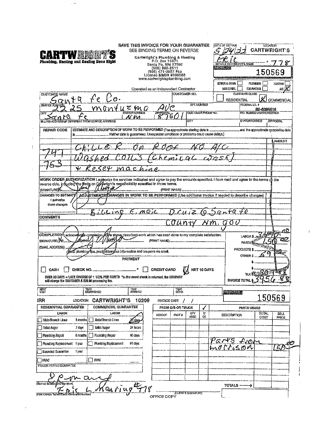|                                                                                                                                                              |                                                                                    | SAVE THIS INVOICE FOR YOUR GUARANTEE                            |                   |                             | <b>DATE OF SEP AIGE</b> |                                                               | <b>LOCATION</b>                                 |                                     |
|--------------------------------------------------------------------------------------------------------------------------------------------------------------|------------------------------------------------------------------------------------|-----------------------------------------------------------------|-------------------|-----------------------------|-------------------------|---------------------------------------------------------------|-------------------------------------------------|-------------------------------------|
|                                                                                                                                                              |                                                                                    | SEE BINDING TERMS ON REVERSE<br>Cartwright's Plumbing & Heating |                   |                             |                         |                                                               |                                                 | <b>GARTWRIGHT'S</b>                 |
| Plumbing, Heating and Cooling Done Right                                                                                                                     |                                                                                    | P.O. Box 16371<br>Santa Fa, NM 87692                            |                   |                             |                         | <b>CIAN'S NAMI</b>                                            |                                                 | ଙ                                   |
|                                                                                                                                                              |                                                                                    | (505) 982-2511<br>(505) 471-0557 Fax<br>License MM98 #398583    |                   |                             |                         | WOICE NO.                                                     | b                                               | 0569                                |
|                                                                                                                                                              |                                                                                    | www.cartwrightsplumbing.com                                     |                   |                             |                         | i estas subjectiva de consumerativa e un seguido de contextos |                                                 | WERPHONE COMMISSION                 |
|                                                                                                                                                              |                                                                                    |                                                                 |                   |                             |                         | SEWER & DRAIN<br>INDUSTRIAL<br><b>EXCAVATION</b>              | PLUMBING                                        | HEATING                             |
| <b>CUSTOMES NAME</b>                                                                                                                                         |                                                                                    | Operated as an Independent Contractor                           | ICUSTOMER NO.     |                             |                         | <b>CUSTOMER CLASS</b>                                         |                                                 | АG                                  |
| <b>C</b> .                                                                                                                                                   |                                                                                    |                                                                 |                   |                             |                         | <b>RESIDENTIAL</b>                                            |                                                 | <b>COMMERCIAL</b>                   |
| SERVICE<br>いい                                                                                                                                                | $\tau$ on $c$                                                                      |                                                                 |                   | <b>APT. NUMBER</b>          |                         | FEDERAL LD. #                                                 | <b>R2-5396616</b><br>P.O. NUMBERVALITHORIZATION |                                     |
| CITY                                                                                                                                                         | <b>STATE/PROVINCE</b><br>N m                                                       | 21979914<br><b>P</b><br>S                                       |                   | <b>CUSTOMER PHONE NO.</b>   |                         |                                                               |                                                 |                                     |
| BILLING ADDRESS OF DIFFERENT FROM SERVICE ADDRESS)                                                                                                           |                                                                                    |                                                                 | CITY              |                             |                         | <b>STATE/PROVINCE</b>                                         |                                                 | ZIP/POSTAL                          |
| ESTIMATE AND DESCRIPTION OF WORK TO BE PERFORMED (The approximate starting date is<br>REPAIR CODE<br>is.                                                     | Naither date is guaranteed. Unexpected conditions or problems could cause delays.) |                                                                 |                   |                             |                         |                                                               |                                                 | and the approximate completion date |
|                                                                                                                                                              |                                                                                    |                                                                 |                   |                             |                         |                                                               |                                                 | ≹AMOUNT                             |
|                                                                                                                                                              |                                                                                    |                                                                 |                   |                             |                         |                                                               |                                                 |                                     |
|                                                                                                                                                              |                                                                                    |                                                                 |                   |                             |                         |                                                               |                                                 |                                     |
|                                                                                                                                                              |                                                                                    |                                                                 |                   |                             |                         |                                                               |                                                 |                                     |
|                                                                                                                                                              | aτ<br>$k \cdot n$                                                                  |                                                                 |                   |                             |                         |                                                               |                                                 |                                     |
| WORK ORDER AUTHORIZATION I authorize the services indicated and agree to pay the amounts specified. I have read and agree to the terms on the                |                                                                                    |                                                                 |                   |                             |                         |                                                               |                                                 |                                     |
| reverse side, individing the limits on Corpuright's responsibility specified in those terms.<br>Morris,<br>hun a.                                            |                                                                                    |                                                                 |                   |                             |                         |                                                               |                                                 |                                     |
| (SIGNATURE) <sup>X</sup><br>ADJUSTMENTS/CHANGES IN WORK TO BE PERFORMED (Use additional invoice if needed to describe changes)<br><b>CHANGES TO ESTIMAT!</b> |                                                                                    | (PRINT NAME)                                                    |                   |                             |                         |                                                               |                                                 |                                     |
| lauthorize                                                                                                                                                   |                                                                                    |                                                                 |                   |                             |                         |                                                               |                                                 |                                     |
| these changes                                                                                                                                                | maic                                                                               |                                                                 |                   |                             |                         | $n \nmid Q \nmid Q$                                           |                                                 |                                     |
| CLIMG<br>COMMENTS                                                                                                                                            |                                                                                    |                                                                 |                   |                             |                         |                                                               |                                                 |                                     |
|                                                                                                                                                              |                                                                                    |                                                                 |                   |                             |                         | 0U<br>Г.                                                      |                                                 |                                     |
|                                                                                                                                                              |                                                                                    |                                                                 |                   |                             |                         |                                                               |                                                 |                                     |
|                                                                                                                                                              |                                                                                    |                                                                 |                   |                             |                         |                                                               |                                                 | 69                                  |
| scide completion<br>nwM<br>しゅもん                                                                                                                              | of the above described work which has been done to my complete satisfaction.       | (PRINT NAME)                                                    |                   |                             |                         | LABOR <sub>\$</sub>                                           |                                                 | 92                                  |
|                                                                                                                                                              |                                                                                    |                                                                 |                   |                             |                         | <b>PARTS</b>                                                  |                                                 |                                     |
| Setto plumbing lips, product/services information and coupons via email.                                                                                     |                                                                                    |                                                                 |                   |                             |                         | PRODUCTS<br>OTHER                                             |                                                 |                                     |
|                                                                                                                                                              | PAYMENT                                                                            |                                                                 |                   |                             |                         |                                                               |                                                 |                                     |
| CHECK NO.<br>CASH<br>$\blacksquare$                                                                                                                          |                                                                                    | <b>CREDIT CARD</b>                                              |                   | NET 10 DAYS                 |                         |                                                               |                                                 |                                     |
| OVER 30 DAYS = LATE CHARGE OF 1 1/2% PER MONTH *in the event check is returned, the COMPANY                                                                  |                                                                                    |                                                                 |                   |                             |                         |                                                               |                                                 |                                     |
| will charge the CUSTOMER A \$25.00 processing fee.                                                                                                           |                                                                                    |                                                                 |                   |                             |                         | <b>INVOICE TOTA</b>                                           |                                                 |                                     |
| TIME<br>DISPATCHED                                                                                                                                           | time<br>Arrived                                                                    |                                                                 | <b>TIME</b>       |                             |                         | <b>INGLESION</b>                                              |                                                 |                                     |
| CARTWRIGHT'S 10209<br>LOCATION                                                                                                                               |                                                                                    | INVOICE DATE /                                                  |                   |                             |                         |                                                               |                                                 | <u> 150569</u>                      |
| <b>COMMERCIAL GUARANTEE</b><br><b>RESIDENTIAL GUARANTEE</b>                                                                                                  |                                                                                    |                                                                 | FROM O/S OR TRUCK | ✓                           |                         | <b>PARTS USAGE</b>                                            |                                                 |                                     |
| LAROR<br>LABOR                                                                                                                                               |                                                                                    | VENDOR                                                          | <b>PART #</b>     | $\eta$<br>CTY<br>ОS<br>USED |                         | DESCRIPTION                                                   | TOTAL<br>COST                                   | SELL.                               |
| Main/Branch Lines<br>$6$ months $\int$<br>Main/Branch Lines                                                                                                  | وعليكا                                                                             |                                                                 |                   |                             |                         |                                                               |                                                 | PRICE                               |
| Toilet Auger<br>  Tollet Auger<br>7 days                                                                                                                     | 24 hours                                                                           |                                                                 |                   |                             |                         |                                                               |                                                 |                                     |
| ] Plambing Rapak<br><b>Plumbing Repair</b><br>6 months                                                                                                       | 90 days                                                                            |                                                                 |                   |                             |                         |                                                               |                                                 |                                     |
| Plumbing Replacement<br>Plumbing Replacement 1 year                                                                                                          | 99 days                                                                            |                                                                 |                   |                             |                         | Parts from                                                    |                                                 |                                     |
| Extended Guarantee<br>1 year                                                                                                                                 |                                                                                    |                                                                 |                   |                             |                         | tud Chison                                                    |                                                 | $\mathcal{L} \mathcal{D}$           |
| $\square$ HWAC                                                                                                                                               | -------                                                                            |                                                                 |                   |                             |                         |                                                               |                                                 |                                     |
| COMPLETION acknow<br>(SIGNATUFIE) AS<br>(EMAIL ADDRESS)<br>NEXT<br>Visit<br>IRR<br>$\Box$ HVAC<br><b>FEASON FOR NO GUARANTEE</b>                             |                                                                                    |                                                                 |                   |                             |                         |                                                               |                                                 |                                     |
|                                                                                                                                                              |                                                                                    |                                                                 |                   |                             |                         |                                                               |                                                 |                                     |
| (Service Technic<br><u>Nansing</u>                                                                                                                           |                                                                                    |                                                                 |                   |                             |                         | totals                                                        |                                                 |                                     |

 $\label{eq:2.1} \frac{1}{\sqrt{2}}\int_{0}^{\infty}\frac{1}{\sqrt{2\pi}}\left(\frac{1}{\sqrt{2\pi}}\right)^{2\alpha} \frac{1}{\sqrt{2\pi}}\int_{0}^{\infty}\frac{1}{\sqrt{2\pi}}\left(\frac{1}{\sqrt{2\pi}}\right)^{\alpha} \frac{1}{\sqrt{2\pi}}\frac{1}{\sqrt{2\pi}}\int_{0}^{\infty}\frac{1}{\sqrt{2\pi}}\frac{1}{\sqrt{2\pi}}\frac{1}{\sqrt{2\pi}}\frac{1}{\sqrt{2\pi}}\frac{1}{\sqrt{2\pi}}\frac{1}{\sqrt{2\pi}}$ 

 $\mathcal{O}(\mathcal{O})$  , and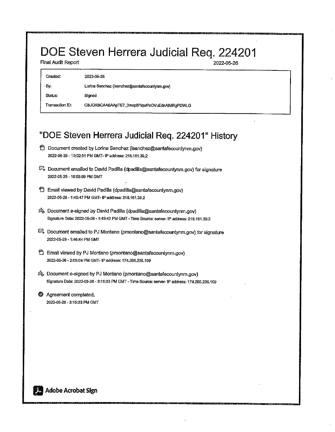# DOE Steven Herrera Judicial Req. 224201

**Final Audit Report** 

2022-05-26

#### Created: 2022-05-25

By:

Status:

Lorina Sanchez (Isanchez@santafecountynm.gov) Signed

Transaction ID:

CBJCHBCAABAApTE7\_3mxp8FtqwPoOVuEdnAtMRgPDWLG

# "DOE Steven Herrera Judicial Req. 224201" History

- i<sup>6</sup> Document created by Lorina Sanchez (Isanchez@santafecountynm.gov) 2022-05-25 - 10:02:51 PM GMT- IP address: 216.181.39.2
- Document emailed to David Padilla (dpadilla@santafecountynm.gov) for signature 2022-05-25 - 10:05:09 PM GMT
- Email viewed by David Padilla (dpadilla@santafecountynm.gov) 2022-05-26 - 1:45:47 PM GMT-IP address: 216.161.39.2
- Co Document e-signed by David Padilla (dpadilla@santafecountynm.gov) Signature Date: 2022-05-26 - 1:46:42 PM GMT - Time Source: server- IP address: 216.161.39.2
- Document emailed to PJ Montano (pmontano@santafecountynm.gov) for signature 2022-05-26 - 1:46:44 PM GMT
- Email viewed by PJ Montano (pmontano@santafecountynm.gov) 2022-05-26 - 2:05:04 PM GMT-IP address: 174.205.236.109
- @ Document e-signed by PJ Montano (pmontano@santafecountynm.gov) Signature Date: 2022-05-26 - 3:15:33 PM GMT - Time Source: server- IP address: 174.205.236.109
- 2 Agreement completed. 2022-05-26 - 3:15:33 PM GMT

Adobe Acrobat Sign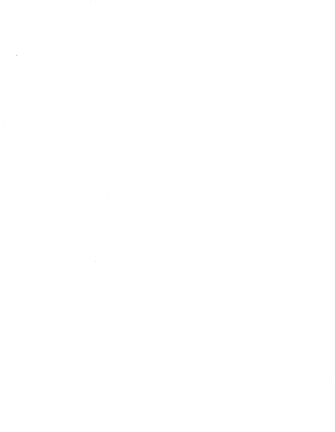$\sim 10^{11}$  km s  $^{-1}$  $\mathcal{L}(\mathcal{A})$  and  $\mathcal{L}(\mathcal{A})$ 

 $\label{eq:2.1} \frac{1}{\sqrt{2}}\left(\frac{1}{\sqrt{2}}\right)^{2} \left(\frac{1}{\sqrt{2}}\right)^{2} \left(\frac{1}{\sqrt{2}}\right)^{2} \left(\frac{1}{\sqrt{2}}\right)^{2} \left(\frac{1}{\sqrt{2}}\right)^{2} \left(\frac{1}{\sqrt{2}}\right)^{2} \left(\frac{1}{\sqrt{2}}\right)^{2} \left(\frac{1}{\sqrt{2}}\right)^{2} \left(\frac{1}{\sqrt{2}}\right)^{2} \left(\frac{1}{\sqrt{2}}\right)^{2} \left(\frac{1}{\sqrt{2}}\right)^{2} \left(\$ 

 $\frac{1}{2}$ 

 $\label{eq:2.1} \frac{1}{\sqrt{2}}\int_{\mathbb{R}^3}\frac{1}{\sqrt{2}}\left(\frac{1}{\sqrt{2}}\right)^2\frac{1}{\sqrt{2}}\left(\frac{1}{\sqrt{2}}\right)^2\frac{1}{\sqrt{2}}\left(\frac{1}{\sqrt{2}}\right)^2\frac{1}{\sqrt{2}}\left(\frac{1}{\sqrt{2}}\right)^2.$ 

 $\label{eq:2.1} \frac{1}{\sqrt{2}}\int_{\mathbb{R}^3}\frac{1}{\sqrt{2}}\left(\frac{1}{\sqrt{2}}\right)^2\frac{1}{\sqrt{2}}\left(\frac{1}{\sqrt{2}}\right)^2\frac{1}{\sqrt{2}}\left(\frac{1}{\sqrt{2}}\right)^2\frac{1}{\sqrt{2}}\left(\frac{1}{\sqrt{2}}\right)^2.$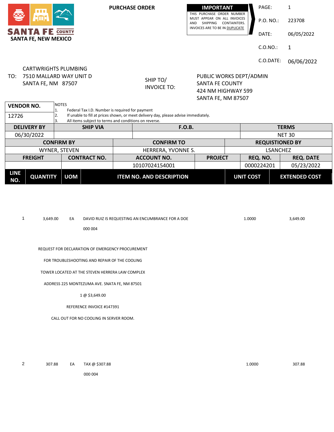|                        | FINT                        |  |
|------------------------|-----------------------------|--|
| <b>SANTA FE COUNTY</b> | <b>SANTA FE, NEW MEXICO</b> |  |

| <b>PURCHASE ORDER</b> | IMPORTANT                                                             | $PAGF$ : |
|-----------------------|-----------------------------------------------------------------------|----------|
|                       | THIS PURCHASE ORDER NUMBER<br>MUST APPEAR ON ALL INVOICES<br>SHIPPING | P.O.N    |
|                       | CONTAINTERS.<br>AND<br>INVOICES ARE TO BE IN DUPLICATE                |          |

P.O. NO.: DATE: C.O.NO.: 1 223708 06/05/2022 1

C.O.DATE: 06/06/2022

1.0000 3,649.00

# CARTWRIGHTS PLUMBING

TO: 7510 MALLARD WAY UNIT D SANTA FE, NM 87507 SANTA FE COUNTY

SHIP TO/ INVOICE TO:

PUBLIC WORKS DEPT/ADMIN 424 NM HIGHWAY 599 SANTA FE, NM 87507

| <b>VENDOR NO.</b>  |                                        | <b>NOTES</b>                                          |                                                       |  |                                                                                     |                |                        |                  |  |                      |
|--------------------|----------------------------------------|-------------------------------------------------------|-------------------------------------------------------|--|-------------------------------------------------------------------------------------|----------------|------------------------|------------------|--|----------------------|
|                    |                                        | Federal Tax I.D. Number is required for payment<br>⊥. |                                                       |  |                                                                                     |                |                        |                  |  |                      |
| 12726              |                                        | ۷.                                                    |                                                       |  | If unable to fill at prices shown, or meet delivery day, please advise immediately. |                |                        |                  |  |                      |
|                    |                                        |                                                       | All items subject to terms and conditions on reverse. |  |                                                                                     |                |                        |                  |  |                      |
|                    | <b>DELIVERY BY</b>                     |                                                       | <b>SHIP VIA</b>                                       |  | <b>F.O.B.</b>                                                                       |                |                        |                  |  | <b>TERMS</b>         |
|                    | 06/30/2022                             |                                                       |                                                       |  |                                                                                     |                |                        |                  |  | <b>NET 30</b>        |
|                    | <b>CONFIRM BY</b><br><b>CONFIRM TO</b> |                                                       |                                                       |  |                                                                                     |                | <b>REQUISTIONED BY</b> |                  |  |                      |
|                    |                                        | WYNER, STEVEN                                         |                                                       |  | HERRERA, YVONNE S.                                                                  |                |                        | LSANCHEZ         |  |                      |
|                    | <b>FREIGHT</b>                         |                                                       | <b>CONTRACT NO.</b>                                   |  | <b>ACCOUNT NO.</b>                                                                  | <b>PROJECT</b> |                        | REQ. NO.         |  | <b>REQ. DATE</b>     |
|                    |                                        |                                                       |                                                       |  | 10107024154001                                                                      |                |                        | 0000224201       |  | 05/23/2022           |
| <b>LINE</b><br>NO. | <b>QUANTITY</b>                        | <b>UOM</b>                                            |                                                       |  | <b>ITEM NO. AND DESCRIPTION</b>                                                     |                |                        | <b>UNIT COST</b> |  | <b>EXTENDED COST</b> |

| ۰. |  |
|----|--|
|    |  |
|    |  |

000 004

1 3,649.00 EA DAVID RUIZ IS REQUESTING AN ENCUMBRANCE FOR A DOE

REQUEST FOR DECLARATION OF EMERGENCY PROCUREMENT

FOR TROUBLESHOOTING AND REPAIR OF THE COOLING

TOWER LOCATED AT THE STEVEN HERRERA LAW COMPLEX

ADDRESS 225 MONTEZUMA AVE. SNATA FE, NM 87501

1 @ \$3,649.00

REFERENCE INVOICE #147391

CALL OUT FOR NO COOLING IN SERVER ROOM.

2 307.88 EA TAX @ \$307.88

000 004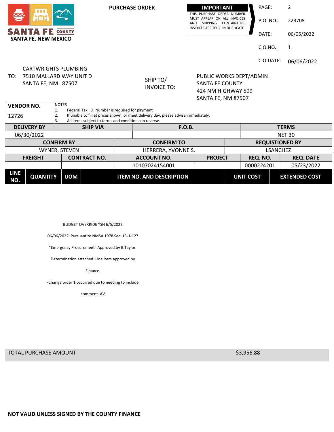|                        | Ama                         |  |
|------------------------|-----------------------------|--|
| <b>SANTA FE COUNTY</b> | <b>SANTA FE, NEW MEXICO</b> |  |

| <b>PURCHASE ORDER</b> | <b>IMPORTANT</b>                | PAGE:  |
|-----------------------|---------------------------------|--------|
|                       | THIS PURCHASE ORDER NUMBER      |        |
|                       | MUST APPEAR ON ALL INVOICES     | P.O. N |
|                       | SHIPPING<br>CONTAINTERS.<br>AND |        |
|                       | INVOICES ARE TO BE IN DUPLICATE |        |
|                       |                                 |        |

P.O. NO.: DATE: C.O.NO.: 2 223708 06/05/2022 1

C.O.DATE: 06/06/2022

# CARTWRIGHTS PLUMBING

# TO: 7510 MALLARD WAY UNIT D SANTA FE, NM 87507 SANTA FE COUNTY

SHIP TO/ INVOICE TO:

PUBLIC WORKS DEPT/ADMIN 424 NM HIGHWAY 599 SANTA FE, NM 87507

| <b>VENDOR NO.</b>  |                    | <b>NOTES</b><br>Federal Tax I.D. Number is required for payment                                                                                                  |                     |                    |                                 |                |  |                        |  |                      |  |
|--------------------|--------------------|------------------------------------------------------------------------------------------------------------------------------------------------------------------|---------------------|--------------------|---------------------------------|----------------|--|------------------------|--|----------------------|--|
| 12726              |                    | If unable to fill at prices shown, or meet delivery day, please advise immediately.<br>$\overline{2}$ .<br>All items subject to terms and conditions on reverse. |                     |                    |                                 |                |  |                        |  |                      |  |
|                    | <b>DELIVERY BY</b> | <b>SHIP VIA</b>                                                                                                                                                  |                     |                    | <b>F.O.B.</b>                   | <b>TERMS</b>   |  |                        |  |                      |  |
|                    | 06/30/2022         |                                                                                                                                                                  |                     |                    |                                 |                |  |                        |  | <b>NET 30</b>        |  |
| <b>CONFIRM BY</b>  |                    |                                                                                                                                                                  |                     | <b>CONFIRM TO</b>  |                                 |                |  | <b>REQUISTIONED BY</b> |  |                      |  |
| WYNER, STEVEN      |                    |                                                                                                                                                                  |                     | HERRERA, YVONNE S. |                                 |                |  | <b>LSANCHEZ</b>        |  |                      |  |
| <b>FREIGHT</b>     |                    |                                                                                                                                                                  | <b>CONTRACT NO.</b> |                    | <b>ACCOUNT NO.</b>              | <b>PROJECT</b> |  | REQ. NO.               |  | <b>REQ. DATE</b>     |  |
|                    |                    |                                                                                                                                                                  |                     |                    | 10107024154001                  |                |  | 0000224201             |  | 05/23/2022           |  |
| <b>LINE</b><br>NO. | <b>QUANTITY</b>    | <b>UOM</b>                                                                                                                                                       |                     |                    | <b>ITEM NO. AND DESCRIPTION</b> |                |  | <b>UNIT COST</b>       |  | <b>EXTENDED COST</b> |  |

BUDGET OVERRIDE YSH 6/5/2022

06/06/2022: Pursuant to NMSA 1978 Sec. 13-1-127

"Emergency Procurement" Approved by B.Taylor.

Determination attached. Line item approved by

Finance.

-Change order 1 occurred due to needing to include

comment. AV

TOTAL PURCHASE AMOUNT **\$3,956.88**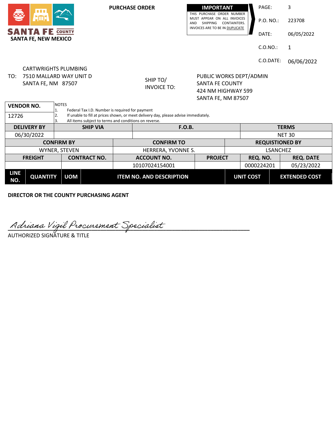| <b>PURCHASE ORDER</b><br>l stal<br><b>DODE</b><br><b>SANTA FE COUNTY</b><br>SANTA FE, NEW MEXICO                                                                                                                                                                |                 |  |                |                    |  |                                                                                                                                                                                                                               | <b>IMPORTANT</b><br>THIS PURCHASE ORDER NUMBER<br>MUST APPEAR ON ALL INVOICES<br>SHIPPING<br><b>CONTAINTERS.</b><br>AND<br>INVOICES ARE TO BE IN DUPLICATE |                        |               | PAGE:<br>P.O. NO.:<br>DATE:<br>C.0.NO. |                  | 3<br>223708<br>06/05/2022<br>$\mathbf{1}$ |            |                      |
|-----------------------------------------------------------------------------------------------------------------------------------------------------------------------------------------------------------------------------------------------------------------|-----------------|--|----------------|--------------------|--|-------------------------------------------------------------------------------------------------------------------------------------------------------------------------------------------------------------------------------|------------------------------------------------------------------------------------------------------------------------------------------------------------|------------------------|---------------|----------------------------------------|------------------|-------------------------------------------|------------|----------------------|
| <b>CARTWRIGHTS PLUMBING</b><br>7510 MALLARD WAY UNIT D<br>TO:<br>SANTA FE, NM 87507<br><b>NOTES</b><br><b>VENDOR NO.</b><br>Federal Tax I.D. Number is required for payment<br>1.<br>2.<br>12726<br>All items subject to terms and conditions on reverse.<br>3. |                 |  |                |                    |  | PUBLIC WORKS DEPT/ADMIN<br>SHIP TO/<br><b>SANTA FE COUNTY</b><br><b>INVOICE TO:</b><br>424 NM HIGHWAY 599<br><b>SANTA FE, NM 87507</b><br>If unable to fill at prices shown, or meet delivery day, please advise immediately. |                                                                                                                                                            |                        |               |                                        | C.O.DATE:        |                                           | 06/06/2022 |                      |
| <b>DELIVERY BY</b><br><b>SHIP VIA</b>                                                                                                                                                                                                                           |                 |  |                | <b>F.O.B.</b>      |  |                                                                                                                                                                                                                               |                                                                                                                                                            | <b>TERMS</b>           |               |                                        |                  |                                           |            |                      |
| 06/30/2022                                                                                                                                                                                                                                                      |                 |  |                |                    |  |                                                                                                                                                                                                                               |                                                                                                                                                            |                        | <b>NET 30</b> |                                        |                  |                                           |            |                      |
| <b>CONFIRM BY</b>                                                                                                                                                                                                                                               |                 |  |                | <b>CONFIRM TO</b>  |  |                                                                                                                                                                                                                               |                                                                                                                                                            | <b>REQUISTIONED BY</b> |               |                                        |                  |                                           |            |                      |
| WYNER, STEVEN                                                                                                                                                                                                                                                   |                 |  |                | HERRERA, YVONNE S. |  |                                                                                                                                                                                                                               |                                                                                                                                                            | <b>LSANCHEZ</b>        |               |                                        |                  |                                           |            |                      |
| <b>FREIGHT</b><br><b>CONTRACT NO.</b>                                                                                                                                                                                                                           |                 |  |                | <b>ACCOUNT NO.</b> |  |                                                                                                                                                                                                                               | <b>PROJECT</b>                                                                                                                                             |                        | REQ. NO.      |                                        |                  | <b>REQ. DATE</b>                          |            |                      |
|                                                                                                                                                                                                                                                                 |                 |  | 10107024154001 |                    |  |                                                                                                                                                                                                                               |                                                                                                                                                            |                        | 0000224201    |                                        |                  | 05/23/2022                                |            |                      |
| <b>LINE</b><br>NO.                                                                                                                                                                                                                                              | <b>QUANTITY</b> |  | <b>UOM</b>     |                    |  |                                                                                                                                                                                                                               | <b>ITEM NO. AND DESCRIPTION</b>                                                                                                                            |                        |               |                                        | <b>UNIT COST</b> |                                           |            | <b>EXTENDED COST</b> |

**DIRECTOR OR THE COUNTY PURCHASING AGENT** 

**\_\_\_\_\_\_\_\_\_\_\_\_\_\_\_\_\_\_\_\_\_\_\_\_\_\_\_\_\_\_\_\_\_\_\_\_\_\_\_\_\_\_\_\_\_\_\_\_\_\_\_\_\_\_\_\_\_\_\_\_\_\_\_\_\_\_\_\_\_\_\_\_\_\_\_\_\_\_\_\_\_** 

AUTHORIZED SIGNATURE & TITLE